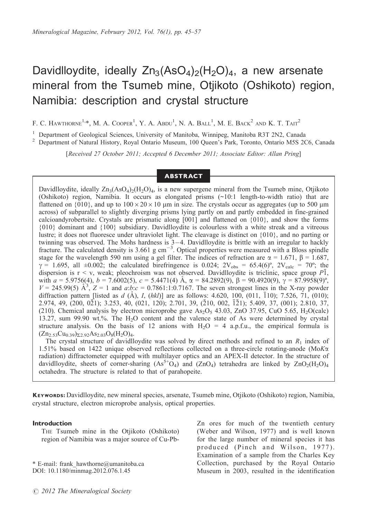# Davidlloydite, ideally  $Zn_3(ASO_4)_2(H_2O)_4$ , a new arsenate mineral from the Tsumeb mine, Otjikoto (Oshikoto) region, Namibia: description and crystal structure

F. C. HAWTHORNE<sup>1,</sup>\*, M. A. Cooper<sup>1</sup>, Y. A. Abdu<sup>1</sup>, N. A. Ball<sup>1</sup>, M. E. Back<sup>2</sup> and K. T. Tait<sup>2</sup>

<sup>1</sup> Department of Geological Sciences, University of Manitoba, Winnipeg, Manitoba R3T 2N2, Canada <sup>2</sup> Department of Natural History, Royal Ontario Museum, 100 Queen's Park, Toronto, Ontario M5S 2C6, Canada

[Received 27 October 2011; Accepted 6 December 2011; Associate Editor: Allan Pring]

# ABSTRACT

Davidlloydite, ideally  $Zn_3(AsO_4)_{2}(H_2O)_4$ , is a new supergene mineral from the Tsumeb mine, Otjikoto (Oshikoto) region, Namibia. It occurs as elongated prisms (~10:1 length-to-width ratio) that are flattened on  $\{010\}$ , and up to  $100 \times 20 \times 10$  µm in size. The crystals occur as aggregates (up to 500 µm across) of subparallel to slightly diverging prisms lying partly on and partly embedded in fine-grained calcioandyrobertsite. Crystals are prismatic along [001] and flattened on {010}, and show the forms {010} dominant and {100} subsidiary. Davidlloydite is colourless with a white streak and a vitreous lustre; it does not fluoresce under ultraviolet light. The cleavage is distinct on {010}, and no parting or twinning was observed. The Mohs hardness is  $3-4$ . Davidlloydite is brittle with an irregular to hackly fracture. The calculated density is 3.661 g cm<sup>-3</sup>. Optical properties were measured with a Bloss spindle stage for the wavelength 590 nm using a gel filter. The indices of refraction are  $\alpha = 1.671$ ,  $\beta = 1.687$ ,  $\gamma = 1.695$ , all  $\pm 0.002$ ; the calculated birefringence is 0.024;  $2V_{obs} = 65.4(6)$ °,  $2V_{calc} = 70$ °; the dispersion is  $r \leq v$ , weak; pleochroism was not observed. Davidlloydite is triclinic, space group  $P\overline{1}$ , with  $a = 5.9756(4)$ ,  $b = 7.6002(5)$ ,  $c = 5.4471(4)$   $\mathring{A}$ ,  $\alpha = 84.2892(9)$ ,  $\beta = 90.4920(9)$ ,  $\gamma = 87.9958(9)$ °,  $V = 245.99(5)$   $\AA^3$ ,  $Z = 1$  and  $a:b:c = 0.7861:1:0.7167$ . The seven strongest lines in the X-ray powder diffraction pattern [listed as d  $(\text{A})$ , I,  $(hkl)$ ] are as follows: 4.620, 100, (011,  $\overline{1}10$ ); 7.526, 71, (010); 2.974, 49, (200, 02¯1); 3.253, 40, (021, 120); 2.701, 39, (2¯10, 002, 1¯2¯1); 5.409, 37, (001); 2.810, 37, (210). Chemical analysis by electron microprobe gave As<sub>2</sub>O<sub>5</sub> 43.03, ZnO 37.95, CuO 5.65, H<sub>2</sub>O(calc) 13.27, sum 99.90 wt.%. The H2O content and the valence state of As were determined by crystal structure analysis. On the basis of 12 anions with  $H_2O = 4$  a.p.f.u., the empirical formula is  $(Zn_{2.53}Cu_{0.39})_{\Sigma2.92}As_{2.03}O_8(H_2O)_4.$ 

The crystal structure of davidlloydite was solved by direct methods and refined to an  $R_1$  index of 1.51% based on 1422 unique observed reflections collected on a three-circle rotating-anode (MoK $\alpha$ ) radiation) diffractometer equipped with multilayer optics and an APEX-II detector. In the structure of davidlloydite, sheets of corner-sharing  $(As<sup>5+</sup>O<sub>4</sub>)$  and  $(ZnO<sub>4</sub>)$  tetrahedra are linked by  $ZnO<sub>2</sub>(H<sub>2</sub>O)<sub>4</sub>$ octahedra. The structure is related to that of parahopeite.

KEYWORDS: Davidlloydite, new mineral species, arsenate, Tsumeb mine, Otjikoto (Oshikoto) region, Namibia, crystal structure, electron microprobe analysis, optical properties.

## Introduction

THE Tsumeb mine in the Otjikoto (Oshikoto) region of Namibia was a major source of Cu-Pb-

\* E-mail: frank\_hawthorne@umanitoba.ca DOI: 10.1180/minmag.2012.076.1.45

Zn ores for much of the twentieth century (Weber and Wilson, 1977) and is well known for the large number of mineral species it has produced (Pinch and Wilson, 1977). Examination of a sample from the Charles Key Collection, purchased by the Royal Ontario Museum in 2003, resulted in the identification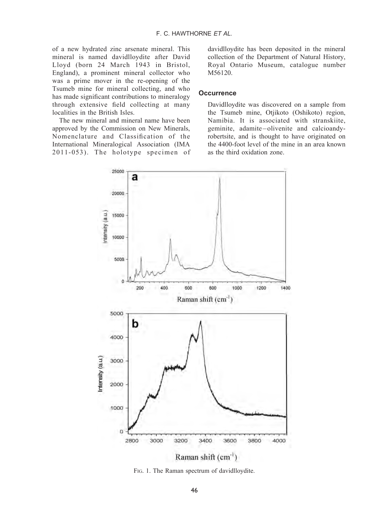of a new hydrated zinc arsenate mineral. This mineral is named davidlloydite after David Lloyd (born 24 March 1943 in Bristol, England), a prominent mineral collector who was a prime mover in the re-opening of the Tsumeb mine for mineral collecting, and who has made significant contributions to mineralogy through extensive field collecting at many localities in the British Isles.

The new mineral and mineral name have been approved by the Commission on New Minerals, Nomenclature and Classification of the International Mineralogical Association (IMA 2011-053). The holotype specimen of davidlloydite has been deposited in the mineral collection of the Department of Natural History, Royal Ontario Museum, catalogue number M56120.

#### **Occurrence**

Davidlloydite was discovered on a sample from the Tsumeb mine, Otjikoto (Oshikoto) region, Namibia. It is associated with stranskiite, geminite, adamite-olivenite and calcioandyrobertsite, and is thought to have originated on the 4400-foot level of the mine in an area known as the third oxidation zone.



FIG. 1. The Raman spectrum of davidlloydite.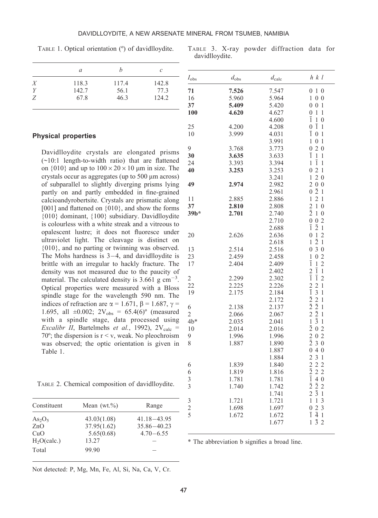|   | a     | h     | C     |
|---|-------|-------|-------|
| X | 118.3 | 117.4 | 142.8 |
|   | 142.7 | 56.1  | 77.3  |
| Ζ | 67.8  | 46.3  | 124.2 |

TABLE 1. Optical orientation (º) of davidlloydite.

TABLE 3. X-ray powder diffraction data for davidlloydite.

# Physical properties

Davidlloydite crystals are elongated prisms (~10:1 length-to-width ratio) that are flattened on  $\{010\}$  and up to  $100 \times 20 \times 10$  µm in size. The crystals occur as aggregates (up to  $500 \mu m$  across) of subparallel to slightly diverging prisms lying partly on and partly embedded in fine-grained calcioandyrobertsite. Crystals are prismatic along [001] and flattened on  $\{010\}$ , and show the forms {010} dominant, {100} subsidiary. Davidlloydite is colourless with a white streak and a vitreous to opalescent lustre; it does not fluoresce under ultraviolet light. The cleavage is distinct on {010}, and no parting or twinning was observed. The Mohs hardness is 3-4, and davidlloydite is brittle with an irregular to hackly fracture. The density was not measured due to the paucity of material. The calculated density is  $3.661$  g cm<sup>-3</sup>. Optical properties were measured with a Bloss spindle stage for the wavelength 590 nm. The indices of refraction are  $\alpha = 1.671$ ,  $\beta = 1.687$ ,  $\gamma =$ 1.695, all  $\pm 0.002$ ;  $2V_{obs} = 65.4(6)$ <sup>o</sup> (measured with a spindle stage, data processed using Excalibr II, Bartelmehs et al., 1992),  $2V_{\text{calc}}$  = 70°; the dispersion is  $r \le v$ , weak. No pleochroism was observed; the optic orientation is given in Table 1.

|  |  |  | TABLE 2. Chemical composition of davidlloydite. |
|--|--|--|-------------------------------------------------|
|--|--|--|-------------------------------------------------|

| Constituent                    | Mean $(wt, %$ | Range           |
|--------------------------------|---------------|-----------------|
| As <sub>2</sub> O <sub>5</sub> | 43.03(1.08)   | $41.18 - 43.95$ |
| ZnO                            | 37.95(1.62)   | $35.86 - 40.23$ |
| CuO                            | 5.65(0.68)    | $4.70 - 6.55$   |
| H <sub>2</sub> O(calc.)        | 13.27         |                 |
| Total                          | 99.90         |                 |
|                                |               |                 |

\* The abbreviation b signifies a broad line.

Not detected: P, Mg, Mn, Fe, Al, Si, Na, Ca, V, Cr.

| $I_{\rm obs}$                              | $d_{\rm obs}$ | $d_{\rm calc}$ | $h \; k \; l$                                                            |
|--------------------------------------------|---------------|----------------|--------------------------------------------------------------------------|
| 71                                         | 7.526         | 7.547          | $\mathbf{1}$<br>$\mathbf{0}$<br>0                                        |
| 16                                         | 5.960         | 5.964          | 1<br>0<br>$\boldsymbol{0}$                                               |
| 37                                         | 5.409         | 5.420          | $\mathbf{0}$<br>$\mathbf{0}$<br>1                                        |
| 100                                        | 4.620         | 4.627          | $\boldsymbol{0}$<br>1<br>1                                               |
|                                            |               | 4.600          | ī<br>1<br>0                                                              |
| 25                                         | 4.200         | 4.208          | ī<br>$\mathbf{0}$<br>1                                                   |
| 10                                         | 3.999         | 4.031          | ī<br>$\overline{0}$<br>1                                                 |
|                                            |               | 3.991          | 1<br>1<br>0                                                              |
| 9                                          | 3.768         | 3.773          | $\mathfrak{2}$<br>$\boldsymbol{0}$<br>0                                  |
| 30                                         | 3.635         | 3.633          | $\overline{1}$<br>$\mathbf{1}$<br>1                                      |
| 24                                         | 3.393         | 3.394          | ī<br>1<br>1                                                              |
| 40                                         | 3.253         | 3.253          | $\overline{c}$<br>$\boldsymbol{0}$<br>1                                  |
|                                            |               | 3.241          | $\overline{2}$<br>$\mathbf 1$<br>$\boldsymbol{0}$                        |
| 49                                         | 2.974         | 2.982          | $\overline{2}$<br>$\boldsymbol{0}$<br>$\mathbf{0}$                       |
|                                            |               | 2.961          | $\bar{2}$<br>$\boldsymbol{0}$<br>1                                       |
| 11                                         | 2.885         | 2.886          | $\overline{c}$<br>$\mathbf{1}$<br>1                                      |
| 37                                         | 2.810         | 2.808          | $\overline{c}$<br>$\mathbf{1}$<br>$\boldsymbol{0}$                       |
| 39b*                                       | 2.701         | 2.740          | $\overline{2}$<br>1                                                      |
|                                            |               |                | 0                                                                        |
|                                            |               | 2.710          | $\mathbf{0}$<br>$\overline{c}$<br>$\mathbf{0}$<br>$\bar{1}$<br>$\bar{2}$ |
|                                            |               | 2.688          | $\mathbf{1}$<br>$\mathbf{1}$                                             |
| 20                                         | 2.626         | 2.636          | $\overline{c}$<br>$\mathbf{0}$                                           |
|                                            |               | 2.618          | $\bar{2}$<br>$\mathbf{1}$<br>1                                           |
| 13                                         | 2.514         | 2.516          | 3<br>$\overline{0}$<br>$\boldsymbol{0}$                                  |
| 23                                         | 2.459         | 2.458          | $\mathbf{1}$<br>$\overline{0}$<br>$\overline{c}$                         |
| 17                                         | 2.404         | 2.409          | Ī<br>1<br>$\overline{2}$                                                 |
|                                            |               | 2.402          | $\overline{c}$<br>ī<br>$\mathbf{1}$                                      |
| $\overline{\mathbf{c}}$                    | 2.299         | 2.302          | Ī<br>Ī<br>$\overline{c}$                                                 |
| 22                                         | 2.225         | 2.226          | $rac{2}{1}$<br>$\overline{c}$<br>$\mathbf{1}$                            |
| 19                                         | 2.175         | 2.184          | 3<br>1                                                                   |
|                                            |               | 2.172          | $\frac{1}{2}$ $\frac{1}{2}$<br>$\overline{c}$<br>1                       |
| 6                                          | 2.138         | 2.137          | $\overline{2}$<br>$\mathbf{1}$                                           |
| $\overline{c}$                             | 2.066         | 2.067          | $\overline{2}$<br>1                                                      |
| $4b*$                                      | 2.035         | 2.041          | $\mathbf{1}$<br>$\overline{3}$<br>1                                      |
| 10                                         | 2.014         | 2.016          | $\frac{2}{2}$<br>$\overline{c}$<br>$\overline{0}$                        |
| 9                                          | 1.996         | 1.996          | $\mathbf{0}$<br>$\overline{2}$                                           |
| 8                                          | 1.887         | 1.890          | $\bar{2}$<br>3<br>$\mathbf{0}$                                           |
|                                            |               | 1.887          | $\overline{0}$<br>$\overline{4}$<br>$\overline{0}$                       |
|                                            |               | 1.884          | $\overline{c}$<br>3<br>1                                                 |
| 6                                          | 1.839         | 1.840          | $\overline{c}$<br>$\overline{c}$                                         |
| 6                                          | 1.819         | 1.816          | $\overline{c}$<br>$\overline{c}$                                         |
| 3                                          | 1.781         | 1.781          | $rac{2}{1}$<br>$\overline{4}$<br>$\boldsymbol{0}$                        |
| $\overline{\mathbf{3}}$                    | 1.740         | 1.742          | $\bar{2}$<br>$\overline{c}$                                              |
|                                            |               | 1.741          | $\frac{1}{2}$<br>$\overline{3}$<br>$\mathbf{1}$                          |
|                                            | 1.721         | 1.721          | $\,1$<br>3<br>$\mathbf{1}$                                               |
| $\begin{array}{c} 3 \\ 2 \\ 5 \end{array}$ | 1.698         | 1.697          | $\overline{c}$<br>3<br>$\boldsymbol{0}$                                  |
|                                            | 1.672         | 1.672          | $\overline{1}$<br>Ā<br>$\mathbf{1}$                                      |
|                                            |               | 1.677          | $\bar{3}$<br>$\mathbf{1}$<br>$\overline{c}$                              |
|                                            |               |                |                                                                          |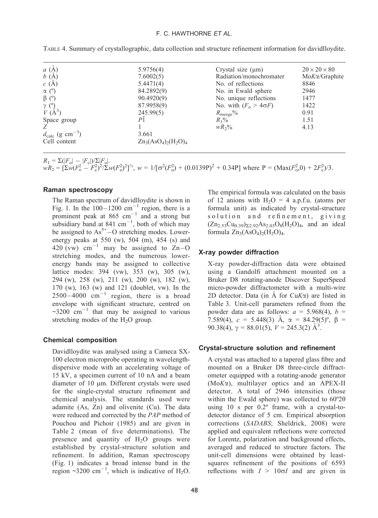| $a\;(\AA)$                              | 5.9756(4)               | Crystal size $(\mu m)$        | $20 \times 20 \times 80$ |
|-----------------------------------------|-------------------------|-------------------------------|--------------------------|
| $b\;$ (Å)                               | 7.6002(5)               | Radiation/monochromater       | $MoK\alpha/Graphite$     |
| c(A)                                    | 5.4471(4)               | No. of reflections            | 8846                     |
| $\alpha$ (°)                            | 84.2892(9)              | No. in Ewald sphere           | 2946                     |
| $\beta$ (°)                             | 90.4920(9)              | No. unique reflections        | 1477                     |
|                                         | 87.9958(9)              | No. with $(F_0 > 4 \sigma F)$ | 1422                     |
| $\gamma$ (°)<br>$V(A^3)$                | 245.99(5)               | $R_{\text{merge}}\%$          | 0.91                     |
| Space group                             | P <sub>1</sub>          | $R_1\%$                       | 1.51                     |
| Z                                       |                         | $wR_2\%$                      | 4.13                     |
| $d_{\text{calc}}$ (g cm <sup>-3</sup> ) | 3.661                   |                               |                          |
| Cell content                            | $Zn_3(AsO_4)_2(H_2O)_4$ |                               |                          |
|                                         |                         |                               |                          |

TABLE 4. Summary of crystallographic, data collection and structure refinement information for davidlloydite.

 $R_1 = \Sigma(|F_o| - |F_c|)/\Sigma|F_o|$ .  $wR_2 = \left[\Sigma w(F_0^2 - F_c^2)^2 / \Sigma w(F_0^2)^2\right]^{1/2}$ ,  $w = 1/[\sigma^2(F_0^2) + (0.0139P)^2 + 0.34P]$  where  $P = (Max(F_0^2, 0) + 2F_c^2)/3$ .

## Raman spectroscopy

The Raman spectrum of davidlloydite is shown in Fig. 1. In the  $100-1200$  cm<sup>-1</sup> region, there is a prominent peak at  $865 \text{ cm}^{-1}$  and a strong but subsidiary band at 841  $cm^{-1}$ , both of which may be assigned to  $As<sup>5+</sup> - O$  stretching modes. Lowerenergy peaks at 550 (w), 504 (m), 454 (s) and 420 (vw)  $cm^{-1}$  may be assigned to  $Zn-O$ stretching modes, and the numerous lowerenergy bands may be assigned to collective lattice modes: 394 (vw), 353 (w), 305 (w), 294 (w), 258 (w), 211 (w), 200 (w), 182 (w), 170 (w), 163 (w) and 121 (doublet, vw). In the  $2500-4000$  cm<sup>-1</sup> region, there is a broad envelope with significant structure, centred on  $\sim$ 3200 cm<sup>-1</sup> that may be assigned to various stretching modes of the  $H_2O$  group.

## Chemical composition

Davidlloydite was analysed using a Cameca SX-100 electron microprobe operating in wavelengthdispersive mode with an accelerating voltage of 15 kV, a specimen current of 10 nA and a beam diameter of  $10 \mu m$ . Different crystals were used for the single-crystal structure refinement and chemical analysis. The standards used were adamite (As, Zn) and olivenite (Cu). The data were reduced and corrected by the PAP method of Pouchou and Pichoir (1985) and are given in Table 2 (mean of five determinations). The presence and quantity of  $H<sub>2</sub>O$  groups were established by crystal-structure solution and refinement. In addition, Raman spectroscopy (Fig. 1) indicates a broad intense band in the region  $\sim$ 3200 cm<sup>-1</sup>, which is indicative of H<sub>2</sub>O.

The empirical formula was calculated on the basis of 12 anions with  $H_2O = 4$  a.p.f.u. (atoms per formula unit) as indicated by crystal-structure solution and refinement, giving  $(Zn_{2.53}Cu_{0.39})_{\Sigma2.92}As_{2.03}O_8(H_2O)_4$ , and an ideal formula  $Zn_3(AsO_4)_2(H_2O)_4$ .

#### X-ray powder diffraction

X-ray powder-diffraction data were obtained using a Gandolfi attachment mounted on a Bruker D8 rotating-anode Discover SuperSpeed micro-powder diffractometer with a multi-wire 2D detector. Data (in  $\AA$  for CuK $\alpha$ ) are listed in Table 3. Unit-cell parameters refined from the powder data are as follows:  $a = 5.968(4)$ ,  $b =$ 7.589(4),  $c = 5.448(3)$   $\AA$ ,  $\alpha = 84.29(5)$ °,  $\beta =$ 90.38(4),  $\gamma = 88.01(5)$ ,  $V = 245.3(2)$   $\mathring{A}^3$ .

## Crystal-structure solution and refinement

A crystal was attached to a tapered glass fibre and mounted on a Bruker D8 three-circle diffractometer equipped with a rotating-anode generator  $(MoK\alpha)$ , multilayer optics and an APEX-II detector. A total of 2946 intensities (those within the Ewald sphere) was collected to  $60^{\circ}2\theta$ using 10 s per 0.2º frame, with a crystal-todetector distance of 5 cm. Empirical absorption corrections (SADABS; Sheldrick, 2008) were applied and equivalent reflections were corrected for Lorentz, polarization and background effects, averaged and reduced to structure factors. The unit-cell dimensions were obtained by leastsquares refinement of the positions of 6593 reflections with  $I > 10\sigma I$  and are given in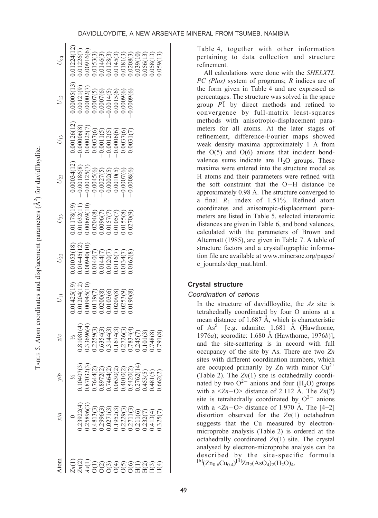|                      | 0.059(13)                                                                                                                                                                                                                                                                                                                                                                     |
|----------------------|-------------------------------------------------------------------------------------------------------------------------------------------------------------------------------------------------------------------------------------------------------------------------------------------------------------------------------------------------------------------------------|
| $U_{12}$             | $\begin{array}{l} 0.00005(13) \\ 0.00121(9) \\ 0.0012(7) \\ 0.00002(7) \\ 0.0007(5) \\ 0.0007(6) \\ -0.0014(5) \\ 0.0015(6) \\ -0.0018(6) \\ -0.0009(6) \\ -0.0009(6) \\ -0.0009(6) \\ \end{array}$                                                                                                                                                                           |
| $U_{13}$             | $\begin{array}{l} 0.00126(12)\\ -0.0006(8)\\ 0.00025(7)\\ 0.00025(7)\\ 0.0037(6)\\ -0.011(5)\\ -0.0012(5)\\ -0.0006(6)\\ 0.0037(6)\\ 0.0037(6)\\ 0.0037(7)\\ 0.0037(7)\\ 0.0031(7)\\ 0.0031(7)\\ 0.0031(7)\\ 0.0031(7)\\ 0.0031(7)\\ 0.0031(7)\\ 0.0031(7)\\ $                                                                                                                |
| $U_{23}$             | $\begin{array}{l} 0.00034(12)\\ 0.00186(8)\\ -0.01125(7)\\ 0.0125(7)\\ -0.0045(6)\\ 0.0027(5)\\ 0.0002(5)\\ 0.0001(6)\\ -0.0007(6)\\ -1 \end{array}$                                                                                                                                                                                                                          |
| $U_{33}$             | $\begin{array}{l} \n 0.01178(19)\\ \n 0.01032(11)\\ \n 1.010369(10)\\ \n 1.00869(10)\\ \n 0.0096(7)\\ \n 0.0157(7)\\ \n 0.0157(7)\\ \n 0.0158(8)\\ \n 0.0158(8)\\ \n 0.0105(7)\\ \n 0.0157(9)\\ \n 0.0158(8)\\ \n 0.0270(9)\\ \n 0.0270(9)\\ \n 0.0102(9)\\ \n 0.0270$                                                                                                        |
| $U_{22}$             | $\begin{array}{l} 0.01053(18)\\ -0.01445(12)\\ -0.0040(10)\\ -0.0040(7)\\ -0.0140(7)\\ -0.0140(7)\\ -0.0130(7)\\ -0.015(7)\\ -0.0134(7)\\ -0.0134(7)\\ -0.0134(7)\\ -0.0134(7)\\ -0.0134(7)\\ -0.0134(7)\\ -0.0134(7)\\ -0.0134(7)\\ -0.0134(7)\\ -0.0134(7)\\ -0.0134(7)\\$                                                                                                  |
| $U_{11}$             |                                                                                                                                                                                                                                                                                                                                                                               |
| $\frac{2}{\sqrt{2}}$ | $\begin{array}{l} \mathbf{y}_{2} \\ \mathbf{0.81081(4)} \\ \mathbf{0.8108(4)} \\ \mathbf{0.259(5)} \\ \mathbf{0.544(5)} \\ \mathbf{0.654(6)} \\ \mathbf{0.114(7)} \\ \mathbf{0.154(7)} \\ \mathbf{0.167(7)} \\ \mathbf{0.176(8)} \\ \mathbf{0.1748(6)} \\ \mathbf{0.101(7)} \\ \mathbf{0.101(8)} \\ \mathbf{0.101(8)} \\ \mathbf{0.101(8)} \\ \mathbf{0.101(8)} \\ \mathbf{0$ |
| уb                   | $\begin{array}{l} \mathcal{V}_2 \\ 0.10407(3) \\ 0.87032(3) \\ 0.87032(3) \\ 0.7644(2) \\ 0.9872(2) \\ 0.9872(2) \\ 0.9872(2) \\ 0.9932(2) \\ 0.9102(3) \\ 0.9102(3) \\ 0.9102(3) \\ 0.9102(3) \\ 0.9102(3) \\ 0.9102(3) \\ 0.9102(3) \\ 0.9102(3) \\ 0.9102(3) \\ 0.9102(3) \\ 0.9$                                                                                          |
|                      | $\begin{smallmatrix} (2392(4)\\ 2398(5)\\ 2389(5)\\ 2399(5)\\ 2399(5)\\ 2399(5)\\ 23027(5)\\ 2322(5)\\ 2322(5)\\ 2322(5)\\ 2323(5)\\ 2323(5)\\ 2323(5)\\ 2323(5)\\ 2323(5)\\ 2323(5)\\ 2323(5)\\ 2323(5)\\ 2323(5)\\ 2323(5)\\ 2323(5)\\ 2323(5)\\ 2323(5)\\ 2323($                                                                                                           |
|                      | r v a s o o o o o ¤ ¤ ¤ ¤<br>S o S S o o o o ¤ ¤ ¤ ¤                                                                                                                                                                                                                                                                                                                          |

TABLE 5. Atom coordinates and displacement parameters  $(\hat{A}^2)$  for davidlloydite.

TABLE 5. Atom coordinates and displacement parameters  $(\hat{A}^2)$  for davidlloydite.

Table 4, together with other information pertaining to data collection and structure refinement.

All calculations were done with the SHELXTL PC (Plus) system of programs; R indices are of the form given in Table 4 and are expressed as percentages. The structure was solved in the space group  $\overline{P1}$  by direct methods and refined to convergence by full-matrix least-squares methods with anisotropic-displacement parameters for all atoms. At the later stages of refinement, difference-Fourier maps showed weak density maxima approximately  $1 \text{ Å}$  from the  $O(5)$  and  $O(6)$  anions that incident bondvalence sums indicate are  $H<sub>2</sub>O$  groups. These maxima were entered into the structure model as H atoms and their parameters were refined with the soft constraint that the O-H distance be approximately  $0.98 \text{ Å}$ . The structure converged to a final  $R_1$  index of 1.51%. Refined atom coordinates and anisotropic-displacement parameters are listed in Table 5, selected interatomic distances are given in Table 6, and bond valences, calculated with the parameters of Brown and Altermatt (1985), are given in Table 7. A table of structure factors and a crystallographic information file are available at www.minersoc.org/pages/ e\_journals/dep\_mat.html.

# Crystal structure

## Coordination of cations

In the structure of davidlloydite, the As site is tetrahedrally coordinated by four O anions at a mean distance of  $1.687$  Å, which is characteristic of  $As^{5+}$  [e.g. adamite: 1.681 Å (Hawthorne, 1976*a*); scorodite: 1.680 Å (Hawthorne, 1976*b*)], and the site-scattering is in accord with full occupancy of the site by As. There are two  $Z_n$ sites with different coordination numbers, which are occupied primarily by Zn with minor  $Cu^{2+}$ (Table 2). The  $Zn(1)$  site is octahedrally coordinated by two  $O^{2-}$  anions and four (H<sub>2</sub>O) groups with a  $\langle Zn-O \rangle$  distance of 2.112 Å. The  $Zn(2)$ site is tetrahedrally coordinated by  $O^{2-}$  anions with a  $\langle Zn-O \rangle$  distance of 1.970 Å. The [4+2] distortion observed for the  $Zn(1)$  octahedron suggests that the Cu measured by electronmicroprobe analysis (Table 2) is ordered at the octahedrally coordinated  $Zn(1)$  site. The crystal analysed by electron-microprobe analysis can be described by the site-specific formula  $^{[6]}$ (Zn<sub>0.6</sub>Cu<sub>0.4</sub>)<sup>[4]</sup>Zn<sub>2</sub>(AsO<sub>4</sub>)<sub>2</sub>(H<sub>2</sub>O)<sub>4</sub>.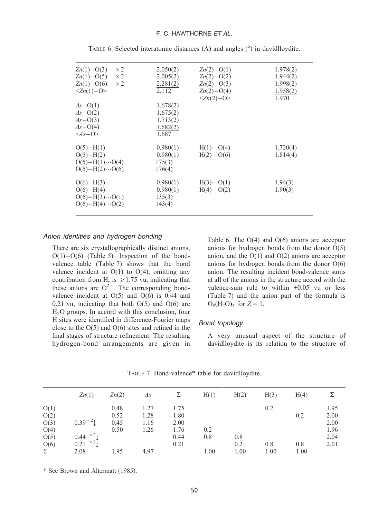## F. C. HAWTHORNE ET AL.

| $Zn(1) - O(3)$<br>$\times 2$ | 2.050(2) | $Zn(2)-O(1)$      | 1.978(2) |
|------------------------------|----------|-------------------|----------|
| $Zn(1)-O(5)$<br>$\times 2$   | 2.005(2) | $Zn(2)-O(2)$      | 1.944(2) |
| $Zn(1) - O(6)$<br>$\times 2$ | 2.281(2) | $Zn(2)-O(3)$      | 1.998(2) |
| $Zn(1)-O>$                   | 2.112    | $Zn(2)-O(4)$      | 1.958(2) |
|                              |          | $Zn(2)-O$         | 1.970    |
| $As-O(1)$                    | 1.678(2) |                   |          |
| $As-O(2)$                    | 1.675(2) |                   |          |
| $As-O(3)$                    | 1.713(2) |                   |          |
| $As-O(4)$                    | 1.682(2) |                   |          |
| $\leq$ As $-$ O>             | 1.687    |                   |          |
| $O(5) - H(1)$                | 0.980(1) | $H(1)\cdots O(4)$ | 1.720(4) |
| $O(5) - H(2)$                | 0.980(1) | $H(2)\cdots O(6)$ | 1.814(4) |
| $O(5) - H(1) \cdots O(4)$    | 175(3)   |                   |          |
| $O(5) - H(2) \cdots O(6)$    | 176(4)   |                   |          |
| $O(6) - H(3)$                | 0.980(1) | $H(3)\cdots O(1)$ | 1.94(3)  |
| $O(6) - H(4)$                | 0.980(1) | $H(4)\cdots O(2)$ | 1.90(3)  |
| $O(6) - H(3) \cdots O(1)$    | 135(3)   |                   |          |
| $O(6) - H(4) \cdots O(2)$    | 143(4)   |                   |          |
|                              |          |                   |          |

TABLE 6. Selected interatomic distances  $(\hat{A})$  and angles  $(^\circ)$  in davidlloydite.

## Anion identities and hydrogen bonding

There are six crystallographically distinct anions, O(1)-O(6) (Table 5). Inspection of the bondvalence table (Table 7) shows that the bond valence incident at  $O(1)$  to  $O(4)$ , omitting any contribution from H, is  $\geq 1.75$  vu, indicating that these anions are  $O^{2-}$ . The corresponding bondvalence incident at  $O(5)$  and  $O(6)$  is 0.44 and 0.21 vu, indicating that both  $O(5)$  and  $O(6)$  are H<sub>2</sub>O groups. In accord with this conclusion, four H sites were identified in difference-Fourier maps close to the O(5) and O(6) sites and refined in the final stages of structure refinement. The resulting hydrogen-bond arrangements are given in

Table 6. The O(4) and O(6) anions are acceptor anions for hydrogen bonds from the donor O(5) anion, and the O(1) and O(2) anions are acceptor anions for hydrogen bonds from the donor O(6) anion. The resulting incident bond-valence sums at all of the anions in the structure accord with the valence-sum rule to within  $\pm 0.05$  vu or less (Table 7) and the anion part of the formula is  $O_8(H_2O)_4$  for  $Z = 1$ .

# Bond topology

A very unusual aspect of the structure of davidlloydite is its relation to the structure of

|      | Zn(1)                                                              | Zn(2) | As   |      | H(1) | H(2) | H(3) | H(4) | Σ    |
|------|--------------------------------------------------------------------|-------|------|------|------|------|------|------|------|
| O(1) |                                                                    | 0.48  | 1.27 | 1.75 |      |      | 0.2  |      | 1.95 |
| O(2) |                                                                    | 0.52  | 1.28 | 1.80 |      |      |      | 0.2  | 2.00 |
| O(3) | $0.39 \times 2$                                                    | 0.45  | 1.16 | 2.00 |      |      |      |      | 2.00 |
| O(4) |                                                                    | 0.50  | 1.26 | 1.76 | 0.2  |      |      |      | 1.96 |
| O(5) | $\begin{array}{cc} 0.44 & \times 2 \\ 0.21 & \times 2 \end{array}$ |       |      | 0.44 | 0.8  | 0.8  |      |      | 2.04 |
| O(6) |                                                                    |       |      | 0.21 |      | 0.2  | 0.8  | 0.8  | 2.01 |
| Σ    | 2.08                                                               | 1.95  | 4.97 |      | 1.00 | 1.00 | 1.00 | 1.00 |      |

TABLE 7. Bond-valence\* table for davidlloydite.

\* See Brown and Altermatt (1985).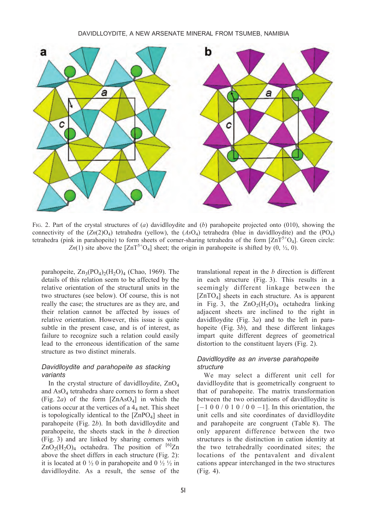#### DAVIDLLOYDITE, A NEW ARSENATE MINERAL FROM TSUMEB, NAMIBIA



FIG. 2. Part of the crystal structures of (a) davidlloydite and (b) parahopeite projected onto (010), showing the connectivity of the  $(Zn(2)O<sub>4</sub>)$  tetrahedra (yellow), the  $(ASO<sub>4</sub>)$  tetrahedra (blue in davidlloydite) and the (PO<sub>4</sub>) tetrahedra (pink in parahopeite) to form sheets of corner-sharing tetrahedra of the form  $[ZnT^{5+}O_4]$ . Green circle:  $Zn(1)$  site above the  $[ZnT^{5+}O_4]$  sheet; the origin in parahopeite is shifted by  $(0, \frac{1}{2}, 0)$ .

parahopeite,  $Zn_3(PO_4)_{2}(H_2O)_4$  (Chao, 1969). The details of this relation seem to be affected by the relative orientation of the structural units in the two structures (see below). Of course, this is not really the case; the structures are as they are, and their relation cannot be affected by issues of relative orientation. However, this issue is quite subtle in the present case, and is of interest, as failure to recognize such a relation could easily lead to the erroneous identification of the same structure as two distinct minerals.

# Davidlloydite and parahopeite as stacking variants

In the crystal structure of davidlloydite,  $ZnO<sub>4</sub>$ and AsO4 tetrahedra share corners to form a sheet (Fig. 2a) of the form  $[ZnAsO<sub>4</sub>]$  in which the cations occur at the vertices of a 44 net. This sheet is topologically identical to the  $[ZnPO_4]$  sheet in parahopeite (Fig. 2b). In both davidlloydite and parahopeite, the sheets stack in the  $b$  direction (Fig. 3) and are linked by sharing corners with  $ZnO<sub>2</sub>(H<sub>2</sub>O)<sub>4</sub>$  octahedra. The position of  $[6]Zn$ above the sheet differs in each structure (Fig. 2): it is located at  $0 \frac{1}{2} 0$  in parahopeite and  $0 \frac{1}{2} \frac{1}{2}$  in davidlloydite. As a result, the sense of the

translational repeat in the b direction is different in each structure (Fig. 3). This results in a seemingly different linkage between the [ZnTO4] sheets in each structure. As is apparent in Fig. 3, the  $ZnO<sub>2</sub>(H<sub>2</sub>O)<sub>4</sub>$  octahedra linking adjacent sheets are inclined to the right in davidlloydite (Fig.  $3a$ ) and to the left in parahopeite (Fig. 3b), and these different linkages impart quite different degrees of geometrical distortion to the constituent layers (Fig. 2).

## Davidlloydite as an inverse parahopeite structure

We may select a different unit cell for davidlloydite that is geometrically congruent to that of parahopeite. The matrix transformation between the two orientations of davidlloydite is  $[-1 \ 0 \ 0 \ 0 \ 1 \ 0 \ 0 \ 0 \ -1]$ . In this orientation, the unit cells and site coordinates of davidlloydite and parahopeite are congruent (Table 8). The only apparent difference between the two structures is the distinction in cation identity at the two tetrahedrally coordinated sites; the locations of the pentavalent and divalent cations appear interchanged in the two structures (Fig. 4).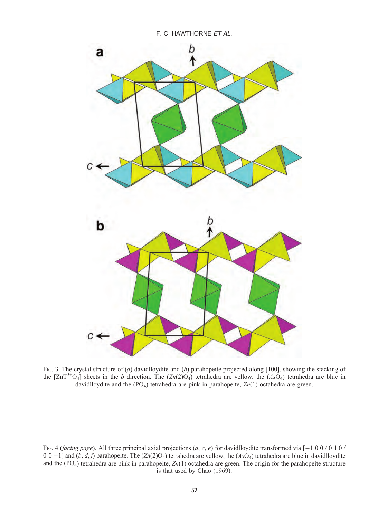

FIG. 3. The crystal structure of (a) davidlloydite and (b) parahopeite projected along [100], showing the stacking of the  $[ZnT^{5+}O_4]$  sheets in the b direction. The  $(Zn(2)O_4)$  tetrahedra are yellow, the  $(ASO_4)$  tetrahedra are blue in davidlloydite and the  $(PO_4)$  tetrahedra are pink in parahopeite,  $Zn(1)$  octahedra are green.

FIG. 4 (facing page). All three principal axial projections  $(a, c, e)$  for davidlloydite transformed via  $[-1 0 0/0 1 0/0 1]$ 0 0 -1] and  $(b, d, f)$  parahopeite. The  $(Zn(2)O<sub>4</sub>)$  tetrahedra are yellow, the  $(AsO<sub>4</sub>)$  tetrahedra are blue in davidlloydite and the (PO<sub>4</sub>) tetrahedra are pink in parahopeite,  $Zn(1)$  octahedra are green. The origin for the parahopeite structure is that used by Chao (1969).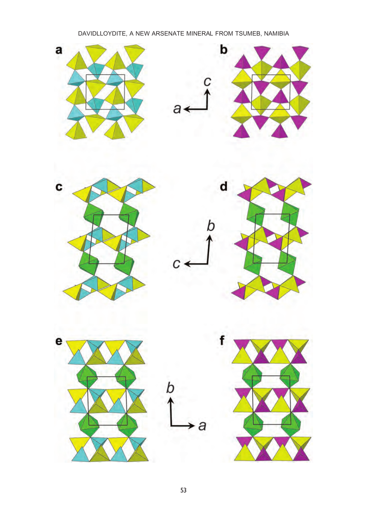# DAVIDLLOYDITE, A NEW ARSENATE MINERAL FROM TSUMEB, NAMIBIA

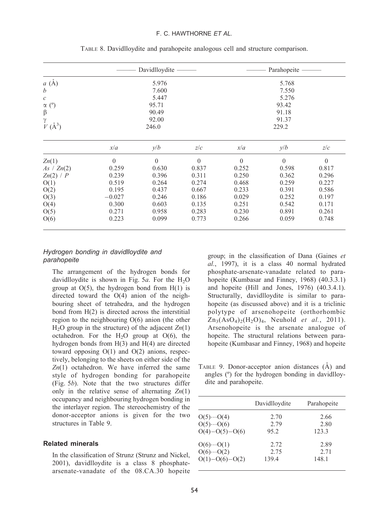## F. C. HAWTHORNE ET AL.

|                                  | Davidlloydite - |              |              | Parahopeite - |          |              |  |
|----------------------------------|-----------------|--------------|--------------|---------------|----------|--------------|--|
| $a\;(\AA)$                       |                 | 5.976        |              |               | 5.768    |              |  |
| $\boldsymbol{b}$                 |                 | 7.600        |              |               | 7.550    |              |  |
| $\mathcal C$                     |                 | 5.447        |              |               | 5.276    |              |  |
| $\alpha$ (°)                     |                 | 95.71        |              |               | 93.42    |              |  |
| β                                |                 | 90.49        |              |               | 91.18    |              |  |
| $\gamma$                         |                 | 92.00        |              |               | 91.37    |              |  |
| $\dot{V}$ ( $\AA$ <sup>3</sup> ) |                 | 246.0        | 229.2        |               |          |              |  |
|                                  | x/a             | y/b          | z/c          | x/a           | y/b      | z/c          |  |
| Zn(1)                            | $\Omega$        | $\mathbf{0}$ | $\mathbf{0}$ | $\mathbf{0}$  | $\theta$ | $\mathbf{0}$ |  |
| As / Zn(2)                       | 0.259           | 0.630        | 0.837        | 0.252         | 0.598    | 0.817        |  |
| $Zn(2)$ / $P$                    | 0.239           | 0.396        | 0.311        | 0.250         | 0.362    | 0.296        |  |
| O(1)                             | 0.519           | 0.264        | 0.274        | 0.468         | 0.259    | 0.227        |  |
| O(2)                             | 0.195           | 0.437        | 0.667        | 0.233         | 0.391    | 0.586        |  |
| O(3)                             | $-0.027$        | 0.246        | 0.186        | 0.029         | 0.252    | 0.197        |  |
| O(4)                             | 0.300           | 0.603        | 0.135        | 0.251         | 0.542    | 0.171        |  |
|                                  | 0.271           | 0.958        | 0.283        | 0.230         | 0.891    | 0.261        |  |
| O(5)                             |                 |              |              |               |          |              |  |

TABLE 8. Davidlloydite and parahopeite analogous cell and structure comparison.

# Hydrogen bonding in davidlloydite and parahopeite

The arrangement of the hydrogen bonds for davidlloydite is shown in Fig.  $5a$ . For the H<sub>2</sub>O group at  $O(5)$ , the hydrogen bond from  $H(1)$  is directed toward the O(4) anion of the neighbouring sheet of tetrahedra, and the hydrogen bond from H(2) is directed across the interstitial region to the neighbouring O(6) anion (the other H<sub>2</sub>O group in the structure) of the adjacent  $Zn(1)$ octahedron. For the  $H<sub>2</sub>O$  group at  $O(6)$ , the hydrogen bonds from H(3) and H(4) are directed toward opposing O(1) and O(2) anions, respectively, belonging to the sheets on either side of the  $Zn(1)$  octahedron. We have inferred the same style of hydrogen bonding for parahopeite (Fig. 5b). Note that the two structures differ only in the relative sense of alternating  $Zn(1)$ occupancy and neighbouring hydrogen bonding in the interlayer region. The stereochemistry of the donor-acceptor anions is given for the two structures in Table 9.

# Related minerals

In the classification of Strunz (Strunz and Nickel, 2001), davidlloydite is a class 8 phosphatearsenate-vanadate of the 08.CA.30 hopeite

group; in the classification of Dana (Gaines et al., 1997), it is a class 40 normal hydrated phosphate-arsenate-vanadate related to parahopeite (Kumbasar and Finney, 1968) (40.3.3.1) and hopeite (Hill and Jones, 1976) (40.3.4.1). Structurally, davidlloydite is similar to parahopeite (as discussed above) and it is a triclinic polytype of arsenohopeite (orthorhombic  $Zn_3(AsO_4)_{2}(H_2O)_4$ , Neuhold *et al.*, 2011). Arsenohopeite is the arsenate analogue of hopeite. The structural relations between parahopeite (Kumbasar and Finney, 1968) and hopeite

TABLE 9. Donor-acceptor anion distances  $(A)$  and angles (º) for the hydrogen bonding in davidlloydite and parahopeite.

|                    | Davidlloydite | Parahopeite |
|--------------------|---------------|-------------|
| $O(5) \cdots O(4)$ | 2.70          | 2.66        |
| $O(5)\cdots O(6)$  | 2.79          | 2.80        |
| $O(4)-O(5)-O(6)$   | 95.2          | 123.3       |
| $O(6)\cdots O(1)$  | 2.72          | 2.89        |
| $O(6)\cdots O(2)$  | 2.75          | 2.71        |
| $O(1)-O(6)-O(2)$   | 139.4         | 148.1       |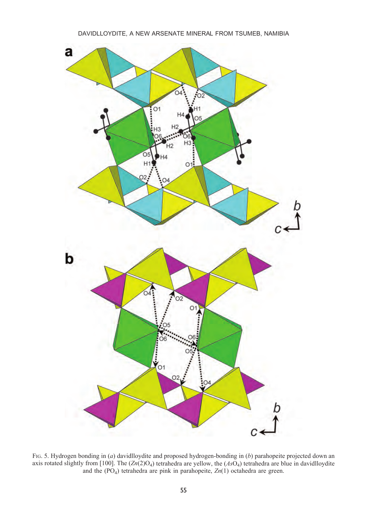

FIG. 5. Hydrogen bonding in (a) davidlloydite and proposed hydrogen-bonding in (b) parahopeite projected down an axis rotated slightly from [100]. The  $(Zn(2)O<sub>4</sub>)$  tetrahedra are yellow, the  $(AsO<sub>4</sub>)$  tetrahedra are blue in davidlloydite and the  $(PO_4)$  tetrahedra are pink in parahopeite,  $Zn(1)$  octahedra are green.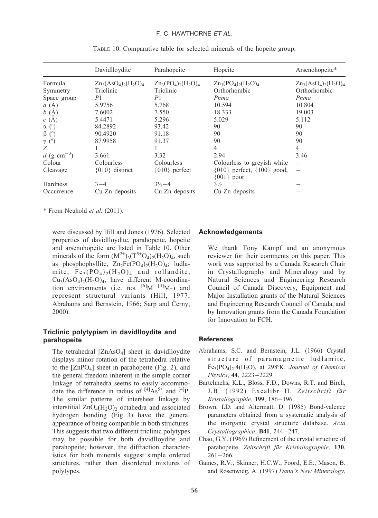## F. C. HAWTHORNE ET AL.

|                                      | Davidlloydite           | Parahopeite              | Hopeite                                              | Arsenohopeite*           |
|--------------------------------------|-------------------------|--------------------------|------------------------------------------------------|--------------------------|
| Formula                              | $Zn_3(AsO_4)_2(H_2O)_4$ | $Zn_3(PO_4)_{2}(H_2O)_4$ | $Zn_3(PO_4)_{2}(H_2O)_4$                             | $Zn_3(AsO_4)_2(H_2O)_4$  |
| Symmetry                             | Triclinic               | Triclinic                | Orthorhombic                                         | Orthorhombic             |
| Space group                          | P <sub>1</sub>          | PĪ                       | Pnma                                                 | Pnma                     |
| a(A)                                 | 5.9756                  | 5.768                    | 10.594                                               | 10.804                   |
| b(A)                                 | 7.6002                  | 7.550                    | 18.333                                               | 19.003                   |
| c(A)                                 | 5.4471                  | 5.296                    | 5.029                                                | 5.112                    |
| $\alpha$ (°)                         | 84.2892                 | 93.42                    | 90                                                   | 90                       |
| $\beta$ (°)                          | 90.4920                 | 91.18                    | 90                                                   | 90                       |
| $\gamma$ (°)                         | 87.9958                 | 91.37                    | 90                                                   | 90                       |
| Z                                    |                         |                          | $\overline{4}$                                       | 4                        |
| d (g cm <sup><math>-3</math></sup> ) | 3.661                   | 3.32                     | 2.94                                                 | 3.46                     |
| Colour                               | Colourless              | Colourless               | Colourless to greyish white                          | $\overline{\phantom{0}}$ |
| Cleavage                             | $\{010\}$ distinct      | $\{010\}$ perfect        | $\{010\}$ perfect, $\{100\}$ good,<br>$\{001\}$ poor |                          |
| <b>Hardness</b>                      | $3 - 4$                 | $3\frac{1}{2}-4$         | $3\frac{1}{2}$                                       |                          |
| Occurrence                           | Cu-Zn deposits          | Cu-Zn deposits           | Cu-Zn deposits                                       |                          |

TABLE 10. Comparative table for selected minerals of the hopeite group.

\* From Neuhold et al. (2011).

were discussed by Hill and Jones (1976). Selected properties of davidlloydite, parahopeite, hopeite and arsenohopeite are listed in Table 10. Other minerals of the form  $(M^{2+})_3(T^{5+}O_4)_2(H_2O)_4$ , such as phosphophyllite,  $Zn_2Fe(PO_4)_2(H_2O)_4$ ; ludlamite,  $Fe_3(PO_4)_2(H_2O)_4$  and rollandite,  $Cu<sub>3</sub>(AsO<sub>4</sub>)<sub>2</sub>(H<sub>2</sub>O)<sub>4</sub>$ , have different M-coordination environments (i.e. not  $^{[6]}M$   $^{[4]}M_2$ ) and represent structural variants (Hill, 1977; Abrahams and Bernstein, 1966; Sarp and Černy, 2000).

## Triclinic polytypism in davidlloydite and parahopeite

The tetrahedral [ZnAsO<sub>4</sub>] sheet in davidlloydite displays minor rotation of the tetrahedra relative to the  $[ZnPO_4]$  sheet in parahopeite (Fig. 2), and the general freedom inherent in the simple corner linkage of tetrahedra seems to easily accommodate the difference in radius of  $[4]$ As<sup>5+</sup> and  $[4]$ P. The similar patterns of intersheet linkage by interstitial  $ZnO_4(H_2O)$  octahedra and associated hydrogen bonding (Fig. 3) have the general appearance of being compatible in both structures. This suggests that two different triclinic polytypes may be possible for both davidlloydite and parahopeite; however, the diffraction characteristics for both minerals suggest simple ordered structures, rather than disordered mixtures of polytypes.

## Acknowledgements

We thank Tony Kampf and an anonymous reviewer for their comments on this paper. This work was supported by a Canada Research Chair in Crystallography and Mineralogy and by Natural Sciences and Engineering Research Council of Canada Discovery, Equipment and Major Installation grants of the Natural Sciences and Engineering Research Council of Canada, and by Innovation grants from the Canada Foundation for Innovation to FCH.

#### **References**

- Abrahams, S.C. and Bernstein, J.L. (1966) Crystal structure of paramagnetic ludlamite,  $Fe_3(PO_4)_{2}$ <sup>-4</sup>(H<sub>2</sub>O), at 298°K. Journal of Chemical Physics, **44**, 2223-2229.
- Bartelmehs, K.L., Bloss, F.D., Downs, R.T. and Birch, J.B. (1992) Excalibr II. Zeitschrift für Kristallographie, 199, 186–196.
- Brown, I.D. and Altermatt, D. (1985) Bond-valence parameters obtained from a systematic analysis of the inorganic crystal structure database. Acta Crystallographica, B41, 244-247.
- Chao, G.Y. (1969) Refinement of the crystal structure of parahopeite. Zeitschrift für Kristallographie, 130, 261-266.
- Gaines, R.V., Skinner, H.C.W., Foord, E.E., Mason, B. and Rosenwieg, A. (1997) Dana's New Mineralogy,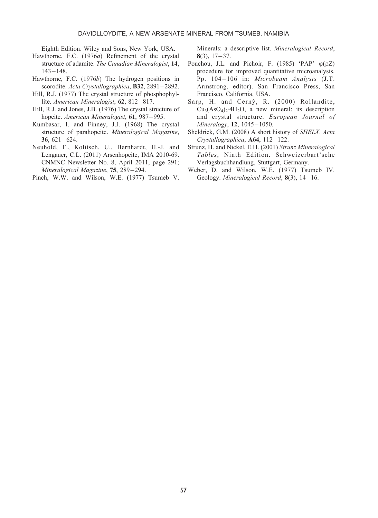Eighth Edition. Wiley and Sons, New York, USA.

- Hawthorne, F.C. (1976a) Refinement of the crystal structure of adamite. The Canadian Mineralogist, 14, 143-148.
- Hawthorne, F.C. (1976b) The hydrogen positions in scorodite. Acta Crystallographica, B32, 2891-2892.
- Hill, R.J. (1977) The crystal structure of phosphophyllite. *American Mineralogist*, **62**, 812–817.
- Hill, R.J. and Jones, J.B. (1976) The crystal structure of hopeite. *American Mineralogist*, **61**, 987–995.
- Kumbasar, I. and Finney, J.J. (1968) The crystal structure of parahopeite. Mineralogical Magazine, 36, 621-624.
- Neuhold, F., Kolitsch, U., Bernhardt, H.-J. and Lengauer, C.L. (2011) Arsenhopeite, IMA 2010-69. CNMNC Newsletter No. 8, April 2011, page 291; Mineralogical Magazine, 75, 289-294.

Pinch, W.W. and Wilson, W.E. (1977) Tsumeb V.

Minerals: a descriptive list. Mineralogical Record,  $8(3), 17-37.$ 

- Pouchou, J.L. and Pichoir, F. (1985) 'PAP'  $\varphi(\rho Z)$ procedure for improved quantitative microanalysis. Pp. 104-106 in: Microbeam Analysis (J.T. Armstrong, editor). San Francisco Press, San Francisco, California, USA.
- Sarp, H. and Cerný, R. (2000) Rollandite,  $Cu<sub>3</sub>(AsO<sub>4</sub>)<sub>2</sub>·4H<sub>2</sub>O$ , a new mineral: its description and crystal structure. European Journal of Mineralogy, 12, 1045-1050.
- Sheldrick, G.M. (2008) A short history of SHELX. Acta Crystallographica, A64, 112-122.
- Strunz, H. and Nickel, E.H. (2001) Strunz Mineralogical Tables, Ninth Edition. Schweizerbart'sche Verlagsbuchhandlung, Stuttgart, Germany.
- Weber, D. and Wilson, W.E. (1977) Tsumeb IV. Geology. Mineralogical Record, 8(3), 14-16.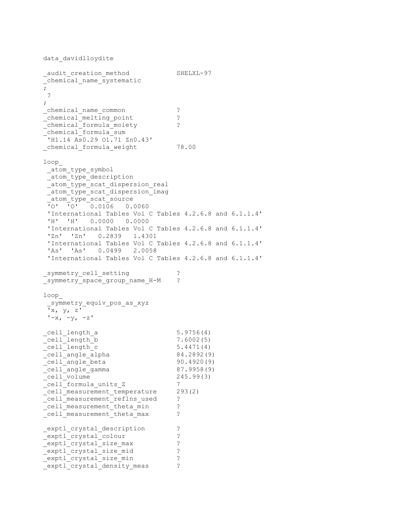```
data davidlloydite
_audit_creation_method SHELXL-97 
_chemical_name_systematic 
; 
 ? 
; 
_chemical_name_common ?<br>
chemical_melting_point ?
_chemical_melting_point ? 
_chemical_formula_moiety ? 
_chemical_formula_sum 
'H1.14 As0.29 O1.71 Zn0.43' 
chemical formula weight
loop_ 
 _atom_type_symbol 
_atom_type_description 
 _atom_type_scat_dispersion_real 
 _atom_type_scat_dispersion_imag 
 _atom_type_scat_source 
 \overline{10}' \overline{10}' \overline{0}.0106 0.0060
 'International Tables Vol C Tables 4.2.6.8 and 6.1.1.4' 
 'H' 'H' 0.0000 0.0000 
 'International Tables Vol C Tables 4.2.6.8 and 6.1.1.4' 
 'Zn' 'Zn' 0.2839 1.4301 
 'International Tables Vol C Tables 4.2.6.8 and 6.1.1.4' 
 'As' 'As' 0.0499 2.0058 
 'International Tables Vol C Tables 4.2.6.8 and 6.1.1.4' 
_symmetry_cell_setting ?
_symmetry_space_group_name_H-M ? 
loop_ 
 symmetry equiv pos as xyz
 \overline{Y}_{X}, \overline{Y}, \overline{z}'-x, -y, -z'
_cell_length_a 5.9756(4) 
_cell_length_b 7.6002(5) 
_cell_length_c 5.4471(4)<br>
cell angle alpha 64.2892(9)
_cell_angle_alpha 84.2892(9) 
_cell_angle_beta 90.4920(9) 
\textcolor{red}{\texttt{\_cell\_angle\_gamma}}\text{cell\_volume} 245.99(3)
_cell_formula_units_Z 7 
_cell_measurement temperature 293(2)
_cell_measurement reflns used ?
_cell_measurement_theta_min ? 
_cell_measurement_theta_max ? 
_exptl_crystal_description ? 
exptl crystal colour ?
exptl crystal size max ?
exptl crystal size mid ?
exptl crystal size min ?
exptl crystal density meas ?
```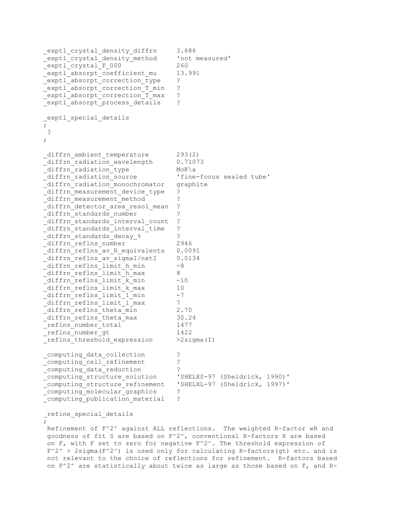```
_exptl_crystal_density_diffrn 3.686 
_exptl_crystal_density_method 'not measured' 
_exptl_crystal_F_000 260 
_exptl_absorpt_coefficient_mu 13.991 
exptl absorpt correction type ?
exptl absorpt correction<sup>T</sup> min ?
exptl absorpt correction T max ?
exptl absorpt process details ?
_exptl_special_details 
; 
? 
; 
diffrn_ambient_temperature 293(2)<br>diffrn_radiation_wavelength 0.71073
diffrn radiation wavelength
_diffrn_radiation_type MoK\a 
diffrn radiation source 'fine-focus sealed tube'
_diffrn_radiation_monochromator graphite 
diffrn measurement device_type ?
diffrn measurement method ?
diffrn_detector_area_resol_mean ?
_diffrn_standards_number ? 
_diffrn_standards_interval_count ? 
_diffrn_standards_interval_time ? 
_diffrn_standards_decay_% ? 
diffrn reflns number 2946
_diffrn_reflns_av_R_equivalents 0.0091 
_diffrn_reflns_av_sigmaI/netI 0.0134 
_diffrn_reflns_limit_h_min -8 
_diffrn_reflns_limit_h_max 8 
_diffrn_reflns_limit_k_min -10 
diffrn reflns limit k max 10
diffrn reflns limit 1 min -7
diffrn_reflns_limit_l_max 7<br>diffrn_reflns_theta_min 2.70
diffrn reflns theta min
diffrn reflns theta max 30.24
_reflns_number_total 1477 
_reflns_number_gt 1422 
_reflns_threshold_expression >2sigma(I) 
_computing_data_collection ? 
_computing_cell_refinement ? 
_computing_data_reduction ? 
_computing_structure_solution 'SHELXS-97 (Sheldrick, 1990)' 
_computing_structure_refinement
_computing_molecular_graphics ?
computing publication material ?
```
\_refine\_special\_details

;

Refinement of F^2^ against ALL reflections. The weighted R-factor wR and goodness of fit S are based on F^2^, conventional R-factors R are based on F, with F set to zero for negative  $F^2$ . The threshold expression of  $F^2$  > 2sigma(F<sup> $2$ </sup>) is used only for calculating R-factors(gt) etc. and is not relevant to the choice of reflections for refinement. R-factors based on  $F^2$ <sup> $\land$ </sup> are statistically about twice as large as those based on F, and R-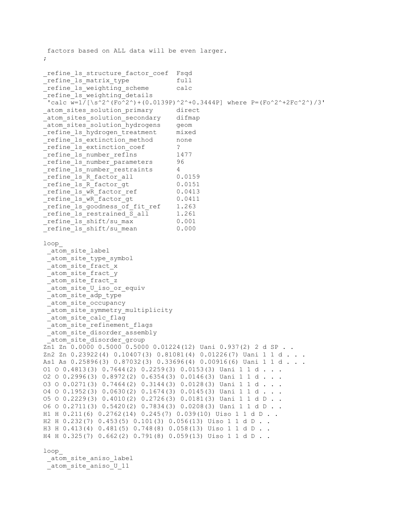factors based on ALL data will be even larger. ; refine ls structure factor coef Fsqd refine ls matrix type full refine 1s weighting scheme calc refine ls weighting details 'calc  $w=1/[\S^2(\sqrt{F}\circ 2\gamma) + (0.0139P)\gamma^2\gamma + 0.3444P]$  where P=(Fo^2^+2Fc^2^)/3' \_atom\_sites\_solution\_primary direct \_atom\_sites\_solution\_secondary difmap \_atom\_sites\_solution\_hydrogens geom \_refine\_ls\_hydrogen\_treatment mixed refine 1s extinction method none refine 1s extinction coef ? \_refine\_ls\_number\_reflns 1477 refine ls number parameters \_refine\_ls\_number\_restraints 4 refine 1s R factor all 0.0159 refine ls R factor gt 0.0151 refine ls wR factor ref 0.0413 refine ls wR factor gt 0.0411 refine 1s goodness of fit ref 1.263  ${\small \_}refine\_ls\_restrained\_S\_all \qquad \qquad 1.261$ \_refine\_ls\_shift/su\_max 0.001 \_refine\_ls\_shift/su\_mean 0.000 loop\_ \_atom\_site\_label \_atom\_site\_type\_symbol \_atom\_site\_fract\_x \_atom\_site\_fract\_y \_atom\_site\_fract\_z atom site U iso or equiv \_atom\_site\_adp\_type atom site occupancy \_atom\_site\_symmetry\_multiplicity \_atom\_site\_calc\_flag \_atom\_site\_refinement\_flags \_atom\_site\_disorder\_assembly atom site disorder group Zn1 Zn 0.0000 0.5000 0.5000 0.01224(12) Uani 0.937(2) 2 d SP . . Zn2 Zn 0.23922(4) 0.10407(3) 0.81081(4) 0.01226(7) Uani 1 1 d . . . As1 As 0.25896(3) 0.87032(3) 0.33696(4) 0.00916(6) Uani 1 1 d . . . O1 O 0.4813(3) 0.7644(2) 0.2259(3) 0.0153(3) Uani 1 1 d  $\ldots$ O2 O 0.2996(3) 0.8972(2) 0.6354(3) 0.0146(3) Uani 1 1 d  $\ldots$ O3 O 0.0271(3) 0.7464(2) 0.3144(3) 0.0128(3) Uani 1 1 d . . . O4 O 0.1952(3) 0.0630(2) 0.1674(3) 0.0145(3) Uani 1 1 d . . . O5 O 0.2229(3) 0.4010(2) 0.2726(3) 0.0181(3) Uani 1 1 d D . . O6 O 0.2711(3) 0.5420(2) 0.7834(3) 0.0208(3) Uani 1 1 d D . . H1 H 0.211(6) 0.2762(14) 0.245(7) 0.039(10) Uiso 1 1 d D . . H2 H 0.232(7) 0.453(5) 0.101(3) 0.056(13) Uiso 1 1 d D . . H3 H 0.413(4) 0.481(5) 0.748(8) 0.058(13) Uiso 1 1 d D . . H4 H 0.325(7) 0.662(2) 0.791(8) 0.059(13) Uiso 1 1 d D . .

loop\_

atom site aniso label \_atom\_site\_aniso\_U\_11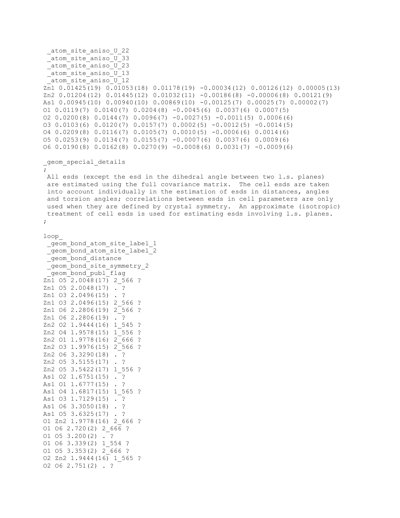```
_atom_site_aniso_U_22 
  _atom_site_aniso_U_33 
 _atom_site_aniso_U_23 
_atom_site_aniso_U_13 
 _atom_site_aniso_U_12 
Zn1 0.01425(19) 0.01053(18) 0.01178(19) -0.00034(12) 0.00126(12) 0.00005(13) 
Zn2 0.01204(12) 0.01445(12) 0.01032(11) -0.00186(8) -0.00006(8) 0.00121(9) 
As1 0.00945(10) 0.00940(10) 0.00869(10) -0.00125(7) 0.00025(7) 0.00002(7) 
O1 0.0119(7) 0.0140(7) 0.0204(8) -0.0045(6) 0.0037(6) 0.0007(5) 
O2 0.0200(8) 0.0144(7) 0.0096(7) -0.0027(5) -0.0011(5) 0.0006(6) 
O3 0.0103(6) 0.0120(7) 0.0157(7) 0.0002(5) -0.0012(5) -0.0014(5) 
O4 0.0209(8) 0.0116(7) 0.0105(7) 0.0010(5) -0.0006(6) 0.0014(6) 
O5 0.0253(9) 0.0134(7) 0.0155(7) -0.0007(6) 0.0037(6) 0.0009(6) 
O6 0.0190(8) 0.0162(8) 0.0270(9) -0.0008(6) 0.0031(7) -0.0009(6) 
_geom_special_details 
; 
All esds (except the esd in the dihedral angle between two l.s. planes) 
 are estimated using the full covariance matrix. The cell esds are taken 
 into account individually in the estimation of esds in distances, angles 
 and torsion angles; correlations between esds in cell parameters are only 
 used when they are defined by crystal symmetry. An approximate (isotropic) 
treatment of cell esds is used for estimating esds involving l.s. planes. 
; 
loop_ 
 geom bond atom site label 1
 geom bond atom site label 2
 _geom_bond_distance 
_geom_bond_site_symmetry_2 
 _geom_bond_publ_flag 
Zn1 05 2.0048(17) 2 566 ?
Zn1 05 2.0048(17) . ?
Zn1 03 2.0496(15) . ?
Zn1 03 2.0496(15) 2 566 ?
Zn1 06 2.2806(19) 2 566 ?
Zn1 O6 2.2806(19) . ? 
Zn2 02 1.9444(16) 1 545 ?
Zn2 04 1.9578(15) 1 556 ?
Zn2 01 1.9778(16) 2 666 ?
Zn2 03 1.9976(15) 2 566 ?
Zn2 O6 3.3290(18) . ?
Zn2 O5 3.5155(17) . ? 
Zn2 05 3.5422(17) 1 556 ?
As1 O2 1.6751(15) . ? 
As1 01 1.6777(15) . ?
As1 04 1.6817(15) 1 565 ?
As1 O3 1.7129(15) . ? 
As1 O6 3.3050(18) . ? 
As1 O5 3.6325(17) . ? 
O1 Zn2 1.9778(16) 2_666 ? 
O1 O6 2.720(2) 2_666 ? 
O1 O5 3.200(2) . ? 
O1 O6 3.339(2) 1_554 ? 
O1 O5 3.353(2) 2_666 ?
```

```
O2 Zn2 1.9444(16) 1_565 ? 
O2 O6 2.751(2) . ?
```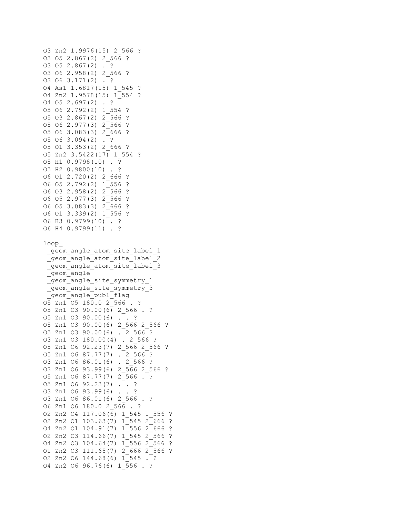```
O3 Zn2 1.9976(15) 2_566 ? 
O3 O5 2.867(2) 2_566 ? 
O3 O5 2.867(2) . ? 
O3 O6 2.958(2) 2_566 ? 
O3 O6 3.171(2) . ? 
O4 As1 1.6817(15) 1_545 ? 
O4 Zn2 1.9578(15) 1_554 ? 
O4 O5 2.697(2) . ? 
O5 O6 2.792(2) 1_554 ? 
O5 O3 2.867(2) 2_566 ? 
O5 O6 2.977(3) 2_566 ? 
O5 O6 3.083(3) 2_666 ? 
O5 O6 3.094(2) . ? 
O5 O1 3.353(2) 2_666 ? 
O5 Zn2 3.5422(17) 1_554 ? 
O5 H1 0.9798(10) . ? 
O5 H2 0.9800(10) . ? 
O6 O1 2.720(2) 2_666 ? 
O6 O5 2.792(2) 1_556 ? 
O6 O3 2.958(2) 2_566 ? 
O6 O5 2.977(3) 2_566 ? 
O6 O5 3.083(3) 2_666 ? 
O6 O1 3.339(2) 1_556 ? 
O6 H3 0.9799(10) . ? 
O6 H4 0.9799(11) . ? 
loop_ 
 geom angle atom site label 1
 _geom_angle_atom_site_label_2 
_geom_angle_atom_site_label_3 
_geom_angle 
 _geom_angle_site_symmetry_1 
_geom_angle_site_symmetry_3 
  geom angle publ flag
O5 Zn1 O5 180.0 2_566 . ? 
O5 Zn1 O3 90.00(6) 2 566 . ?
O5 Zn1 O3 90.00(6) . . ? 
O5 Zn1 O3 90.00(6) 2_566 2_566 ? 
O5 Zn1 O3 90.00(6) . 2_566 ? 
O3 Zn1 O3 180.00(4) . 2_566 ? 
O5 Zn1 O6 92.23(7) 2_566 2_566 ? 
O5 Zn1 O6 87.77(7) . 2_566 ? 
O3 Zn1 O6 86.01(6) . 2_566 ? 
O3 Zn1 O6 93.99(6) 2_566 2_566 ? 
O5 Zn1 O6 87.77(7) 2_566 . ? 
O5 Zn1 O6 92.23(7) . . ? 
O3 Zn1 O6 93.99(6) . . ? 
O3 Zn1 O6 86.01(6) 2_566 . ? 
O6 Zn1 O6 180.0 2 566 . ?
O2 Zn2 O4 117.06(6) 1_545 1_556 ? 
O2 Zn2 O1 103.63(7) 1_545 2_666 ? 
O4 Zn2 O1 104.91(7) 1_556 2_666 ? 
O2 Zn2 O3 114.66(7) 1_545 2_566 ? 
O4 Zn2 O3 104.64(7) 1_556 2_566 ? 
O1 Zn2 O3 111.65(7) 2_666 2_566 ? 
O2 Zn2 O6 144.68(6) 1_545 . ? 
O4 Zn2 O6 96.76(6) 1_556 . ?
```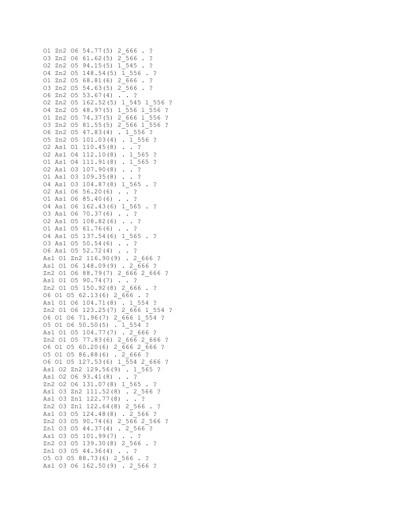```
O1 Zn2 O6 54.77(5) 2_666 . ? 
03 Zn2 06 61.62(5) 2 566 . ?
O2 Zn2 O5 94.15(5) 1_545 . ? 
O4 Zn2 O5 148.54(5) 1_556 . ? 
O1 Zn2 O5 68.81(6) 2 666 . ?
O3 Zn2 O5 54.63(5) 2_566 . ? 
O6 Zn2 O5 53.67(4) . . ? 
O2 Zn2 O5 162.52(5) 1_545 1_556 ? 
O4 Zn2 O5 48.97(5) 1_556 1_556 ? 
O1 Zn2 O5 74.37(5) 2_666 1_556 ? 
O3 Zn2 O5 81.55(5) 2_566 1_556 ? 
O6 Zn2 O5 47.83(4) . 1_556 ? 
O5 Zn2 O5 101.03(4) . 1_556 ? 
O2 As1 O1 110.45(8) . . ? 
O2 As1 O4 112.10(8) . 1_565 ? 
O1 As1 O4 111.91(8) . 1_565 ? 
O2 As1 O3 107.90(8) . . ? 
O1 As1 O3 109.35(8) . . ? 
O4 As1 O3 104.87(8) 1_565 . ? 
O2 As1 O6 56.20(6) . . ? 
O1 As1 O6 85.40(6) . . ? 
O4 As1 O6 162.43(6) 1_565 . ? 
O3 As1 O6 70.37(6) . . ? 
O2 As1 O5 108.82(6) . . ? 
O1 As1 O5 61.76(6) . . ? 
O4 As1 O5 137.54(6) 1_565 . ? 
O3 As1 O5 50.54(6) . . ? 
O6 As1 O5 52.72(4) . . ? 
As1 O1 Zn2 116.90(9) . 2_666 ? 
As1 O1 O6 148.09(9) . 2_666 ? 
Zn2 O1 O6 88.79(7) 2_666 2_666 ? 
As1 01 05 90.74(7) . . ?
Zn2 01 05 150.92(8) 2 666 . ?
O6 O1 O5 62.13(6) 2 666 . ?
As1 01 06 104.71(8) . 1 554 ?
Zn2 01 06 123.25(7) 2 666 1 554 ?
O6 O1 O6 71.96(7) 2_666 1_554 ? 
O5 O1 O6 50.50(5) . 1_554 ? 
As1 01 05 104.77(7) . 2 666 ?
Zn2 01 05 77.83(6) 2 666 2 666 ?
O6 O1 O5 60.20(6) 2_666 2_666 ? 
O5 O1 O5 86.88(6) . 2_666 ? 
O6 O1 O5 127.53(6) 1_554 2_666 ? 
As1 O2 Zn2 129.56(9) . 1_565 ? 
As1 02 06 93.41(8) . . ?
Zn2 02 06 131.07(8) 1 565 . ?
As1 03 Zn2 111.52(8) . 2 566 ?
As1 03 Zn1 122.77(8) . . ?
Zn2 03 Zn1 122.64(8) 2 566 . ?
As1 O3 O5 124.48(8) . 2_566 ? 
Zn2 O3 O5 90.74(6) 2_566 2_566 ? 
Zn1 03 05 44.37(4) . 2 566 ?
As1 03 05 101.99(7) . . ?
Zn2 03 05 139.30(8) 2 566 . ?
Zn1 03 05 44.36(4) . . ?
O5 O3 O5 88.73(6) 2_566 . ? 
As1 03 06 162.50(9) . 2 566 ?
```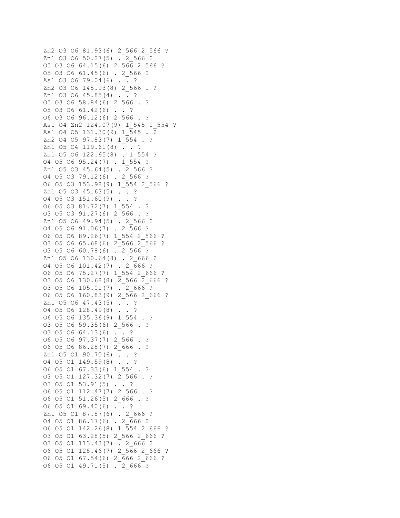```
Zn2 O3 O6 81.93(6) 2_566 2_566 ? 
Zn1 O3 O6 50.27(5) . 2_566 ? 
O5 O3 O6 64.15(6) 2_566 2_566 ? 
O5 O3 O6 61.45(6) . 2_566 ? 
As1 03 06 79.04 (6) . . ?
Zn2 03 06 145.93(8) 2 566 . ?
Zn1 03 06 45.85(4) . . ?
O5 O3 O6 58.84(6) 2_566 . ? 
O5 O3 O6 61.42(6) . . ? 
O6 O3 O6 96.12(6) 2_566 . ? 
As1 04 Zn2 124.07(9) 1 545 1 554 ?
As1 O4 O5 131.30(9) 1_545 . ? 
Zn2 O4 O5 97.83(7) 1_554 . ? 
Zn1 05 04 119.61(8) . . ?
Zn1 05 06 122.65(8) . 1 554 ?
O4 O5 O6 95.24(7) . 1_554 ? 
Zn1 O5 O3 45.64(5) . 2_566 ? 
O4 O5 O3 79.12(6) . 2_566 ? 
O6 O5 O3 153.98(9) 1_554 2_566 ? 
Zn1 05 03 45.63(5) . . ?
O4 O5 O3 151.60(9) . . ? 
O6 O5 O3 81.72(7) 1_554 . ? 
O3 O5 O3 91.27(6) 2_566 . ? 
Zn1 O5 O6 49.94(5) . 2_566 ? 
04 05 06 91.06(7) . 2 566 ?
O6 O5 O6 89.26(7) 1_554 2_566 ? 
O3 O5 O6 65.68(6) 2_566 2_566 ? 
O3 O5 O6 60.78(6) . 2 566 ?
Zn1 O5 O6 130.64(8) . 2_666 ? 
O4 O5 O6 101.42(7) . 2_666 ? 
O6 O5 O6 75.27(7) 1_554 2_666 ? 
O3 O5 O6 130.68(8) 2_566 2_666 ? 
03 05 06 105.01 (7) . 2 666 ?
O6 O5 O6 160.83(9) 2_566 2_666 ? 
Zn1 05 06 47.43(5) . . ?
O4 O5 O6 128.49(8) . . ? 
O6 O5 O6 135.36(9) 1_554 . ? 
O3 O5 O6 59.35(6) 2 566 . ?
O3 O5 O6 64.13(6) . . ? 
O6 O5 O6 97.37(7) 2_566 . ? 
O6 O5 O6 86.28(7) 2 666 . ?
Zn1 05 01 90.70(6) . . ?
O4 O5 O1 149.59(8) . . ? 
O6 O5 O1 67.33(6) 1_554 . ? 
O3 O5 O1 127.32(7) 2_566 . ? 
O3 O5 O1 53.91(5) . . ? 
O6 O5 O1 112.47(7) 2 566 . ?
O6 O5 O1 51.26(5) 2_666 . ? 
O6 O5 O1 69.40(6) . . ? 
Zn1 O5 O1 87.87(6) . 2_666 ? 
O4 O5 O1 86.17(6) . 2_666 ? 
O6 O5 O1 142.26(8) 1_554 2_666 ? 
O3 O5 O1 63.28(5) 2_566 2_666 ? 
03 05 01 113.43(7) . 2 666 ?
O6 O5 O1 128.46(7) 2_566 2_666 ? 
06 05 01 67.54 (6) 2 666 2 666 ?
O6 O5 O1 49.71(5) . 2_666 ?
```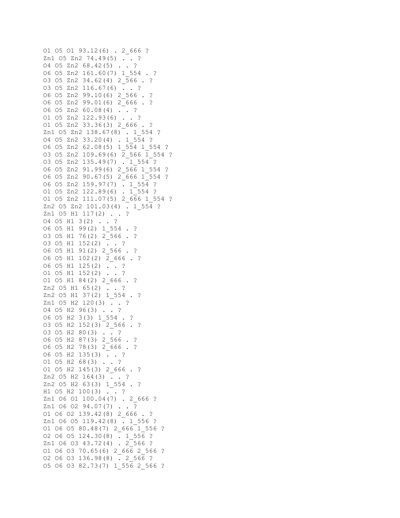```
01 05 01 93.12(6) . 2 666 ?
Zn1 05 Zn2 74.49(5) . . ?
O4 O5 Zn2 68.42(5) . . ? 
O6 O5 Zn2 161.60(7) 1_554 . ? 
O3 O5 Zn2 34.62(4) 2_566 . ? 
O3 O5 Zn2 116.67(6) . . ? 
O6 O5 Zn2 99.10(6) 2_566 . ? 
O6 O5 Zn2 99.01(6) 2 666 . ?
O6 O5 Zn2 60.08(4) . . ? 
O1 O5 Zn2 122.93(6) . . ? 
O1 O5 Zn2 33.36(3) 2_666 . ? 
Zn1 05 Zn2 138.67(8) . 1 554 ?
O4 O5 Zn2 33.20(4) . 1_554 ? 
O6 O5 Zn2 62.08(5) 1_554 1_554 ? 
O3 O5 Zn2 109.69(6) \overline{2} 566 1 554 ?
03 05 Zn2 135.49(7) \sqrt{1} 554 ?
O6 O5 Zn2 91.99(6) 2_566 1_554 ? 
O6 O5 Zn2 90.67(5) 2_666 1_554 ? 
O6 O5 Zn2 159.97(7) . 1_554 ? 
O1 O5 Zn2 122.89(6) . 1_554 ? 
O1 O5 Zn2 111.07(5) 2_666 1_554 ? 
Zn2 05 Zn2 101.03(4) . 1 554 ?
Zn1 05 H1 117(2) . . ?
O4 O5 H1 3(2) . . ? 
O6 O5 H1 99(2) 1_554 . ? 
O3 O5 H1 76(2) 2_566 . ? 
O3 O5 H1 152(2) . . ? 
O6 O5 H1 91(2) 2_566 . ? 
O6 O5 H1 102(2) 2_666 . ? 
O6 O5 H1 125(2) . . ? 
O1 O5 H1 152(2) . . ? 
O1 O5 H1 84(2) 2_666 . ? 
Zn2 05 H1 65(2) . . ?
Zn2 05 H1 37(2) 1 554 . ?
Zn1 05 H2 120(3) . . ?
O4 O5 H2 96(3) . . ? 
O6 O5 H2 3(3) 1_554 . ? 
O3 O5 H2 152(3) 2_566 . ? 
O3 O5 H2 80(3) . . ? 
O6 O5 H2 87(3) 2_566 . ? 
O6 O5 H2 78(3) 2_666 . ? 
O6 O5 H2 135(3) . . ? 
O1 O5 H2 68(3) . . ? 
O1 O5 H2 145(3) 2_666 . ? 
Zn2 05 H2 164(3) . . ?
Zn2 05 H2 63(3) 1 554 . ?
H1 O5 H2 100(3) . . ? 
Zn1 06 01 100.04(7) . 2 666 ?
Zn1 06 02 94.07(7) . . ?
O1 O6 O2 139.42(8) 2_666 . ? 
Zn1 O6 O5 119.42(8) . 1_556 ? 
01 06 05 80.48 (7) 2 666 1 556 ?
02 06 05 124.30 (8) . 1 556 ?
Zn1 06 03 43.72(4) . 2 566 ?
O1 06 03 70.65(6) 2 666 2 566 ?
02 06 03 136.98(8) . 2 566 ?
05 06 03 82.73(7) 1 556 2 566 ?
```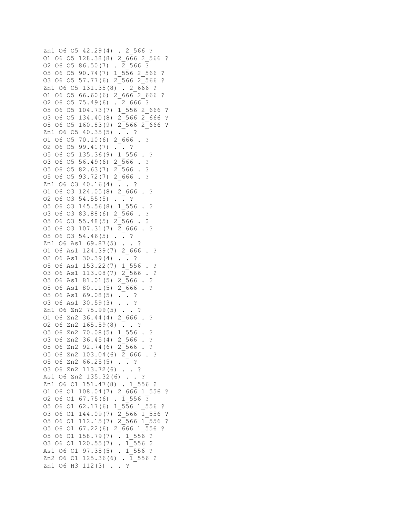```
Zn1 06 05 42.29(4) . 2 566 ?
O1 O6 O5 128.38(8) 2_666 2_566 ? 
02 06 05 86.50(7). 2\overline{)}566 ?
O5 O6 O5 90.74(7) 1_556 2_566 ? 
03 06 05 57.77(6) 2 566 2 566 ?
Zn1 06 05 131.35(8) . 2 666 ?
01 06 05 66.60 (6) 2 666 2 666 ?
02 06 05 75.49 (6) . 2 666 ?
O5 O6 O5 104.73(7) 1_556 2_666 ? 
O3 O6 O5 134.40(8) 2_566 2_666 ? 
O5 O6 O5 160.83(9) 2_566 2_666 ? 
Zn1 06 05 40.35(5) . . ?
O1 O6 O5 70.10(6) 2_666 . ? 
O2 O6 O5 99.41(7) . . ? 
O5 O6 O5 135.36(9) 1_556 . ? 
03 06 05 56.49(6) 2 566 . ?
O5 O6 O5 82.63(7) 2_566 . ? 
05 06 05 93.72 (7) 2 666 . ?
Zn1 06 03 40.16(4) . . ?
01 06 03 124.05 (8) 2 666 . ?
O2 O6 O3 54.55(5) . . ? 
O5 O6 O3 145.56(8) 1 556 . ?
O3 O6 O3 83.88(6) 2_566 . ? 
O5 O6 O3 55.48(5) 2 566 . ?
05 06 03 107.31 (7) 2 666 . ?
O5 O6 O3 54.46(5) . . ? 
Zn1 06 As1 69.87(5) . . ?
O1 O6 As1 124.39(7) 2 666 . ?
O2 O6 As1 30.39(4) . . ? 
O5 O6 As1 153.22(7) 1_556 . ? 
O3 O6 As1 113.08(7) 2_566 . ? 
O5 O6 As1 81.01(5) 2_566 . ? 
O5 O6 As1 80.11(5) 2_666 . ? 
O5 O6 As1 69.08(5) . . ? 
O3 O6 As1 30.59(3) . . ? 
Zn1 06 Zn2 75.99(5) . . ?
O1 O6 Zn2 36.44(4) 2_666 . ? 
O2 O6 Zn2 165.59(8) . . ? 
O5 O6 Zn2 70.08(5) 1_556 . ? 
O3 O6 Zn2 36.45(4) 2 566 . ?
O5 O6 Zn2 92.74(6) 2_566 . ? 
O5 O6 Zn2 103.04(6) 2 666 . ?
O5 O6 Zn2 66.25(5) . . ? 
O3 O6 Zn2 113.72(6) . . ? 
As1 06 Zn2 135.32(6) . . ?
Zn1 06 01 151.47(8) . 1 556 ?
O1 06 01 108.04(7) 2 666 1 556 ?
O2 O6 O1 67.75(6) . 1_556 ? 
05 06 01 62.17(6) 1 556 1 556 ?
O3 O6 O1 144.09(7) 2_566 1_556 ? 
O5 O6 O1 112.15(7) 2_566 1_556 ? 
05 06 01 67.22(6) 2 666 1 556 ?
05 06 01 158.79(7) . 1 556 ?
O3 O6 O1 120.55(7) . 1_556 ? 
As1 06 01 97.35(5) . 1 556 ?
Zn2 06 01 125.36(6) . 1 556 ?
Zn1 O6 H3 112(3) . . ?
```